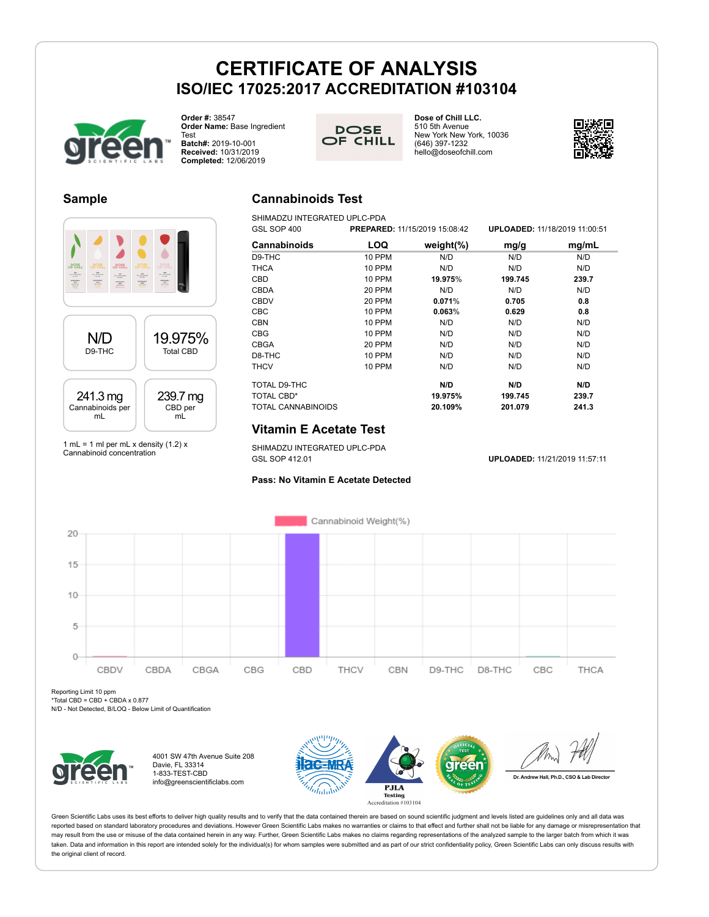**Order #:** 38547 **Order Name:** Base Ingredient Test **Batch#:** 2019-10-001

**Received:** 10/31/2019 **Completed:** 12/06/2019

**DOSE** OF CHILL **Dose of Chill LLC.** 510 5th Avenue New York New York, 10036 (646) 397-1232 hello@doseofchill.com



#### **Sample**



1 mL = 1 ml per mL x density  $(1.2)$  x Cannabinoid concentration

## **Cannabinoids Test**

SHIMADZU INTEGRATED UPLC-PDA GSL SOP 400 **PREPARED:** 11/15/2019 15:08:42 **UPLOADED:** 11/18/2019 11:00:51

| OOL OUF <del>4</del> 00 |               | <b>FREFARED.</b> 11/19/2019 19:00:42 | <b>UFLUADED.</b> IIII0/2013 II.00.01 |       |
|-------------------------|---------------|--------------------------------------|--------------------------------------|-------|
| <b>Cannabinoids</b>     | LOQ           | weight $(\%)$                        | mg/g                                 | mg/mL |
| D9-THC                  | 10 PPM        | N/D                                  | N/D                                  | N/D   |
| <b>THCA</b>             | <b>10 PPM</b> | N/D                                  | N/D                                  | N/D   |
| CBD                     | 10 PPM        | 19.975%                              | 199.745                              | 239.7 |
| <b>CBDA</b>             | 20 PPM        | N/D                                  | N/D                                  | N/D   |
| <b>CBDV</b>             | 20 PPM        | 0.071%                               | 0.705                                | 0.8   |
| <b>CBC</b>              | 10 PPM        | 0.063%                               | 0.629                                | 0.8   |
| <b>CBN</b>              | <b>10 PPM</b> | N/D                                  | N/D                                  | N/D   |
| <b>CBG</b>              | <b>10 PPM</b> | N/D                                  | N/D                                  | N/D   |
| <b>CBGA</b>             | 20 PPM        | N/D                                  | N/D                                  | N/D   |
| D8-THC                  | 10 PPM        | N/D                                  | N/D                                  | N/D   |
| <b>THCV</b>             | 10 PPM        | N/D                                  | N/D                                  | N/D   |
| TOTAL D9-THC            |               | N/D                                  | N/D                                  | N/D   |
| TOTAL CBD*              |               | 19.975%                              | 199.745                              | 239.7 |
| TOTAL CANNABINOIDS      |               | 20.109%                              | 201.079                              | 241.3 |

## **Vitamin E Acetate Test**

SHIMADZU INTEGRATED UPLC-PDA<br>GSL SOP 412.01

GSL SOP 412.01 **UPLOADED:** 11/21/2019 11:57:11





Reporting Limit 10 ppm

\*Total CBD = CBD + CBDA x 0.877

N/D - Not Detected, B/LOQ - Below Limit of Quantification



4001 SW 47th Avenue Suite 208 Davie, FL 33314 1-833-TEST-CBD info@greenscientificlabs.com



Dr. Andrew Hall, Ph.D., CSO & Lab Director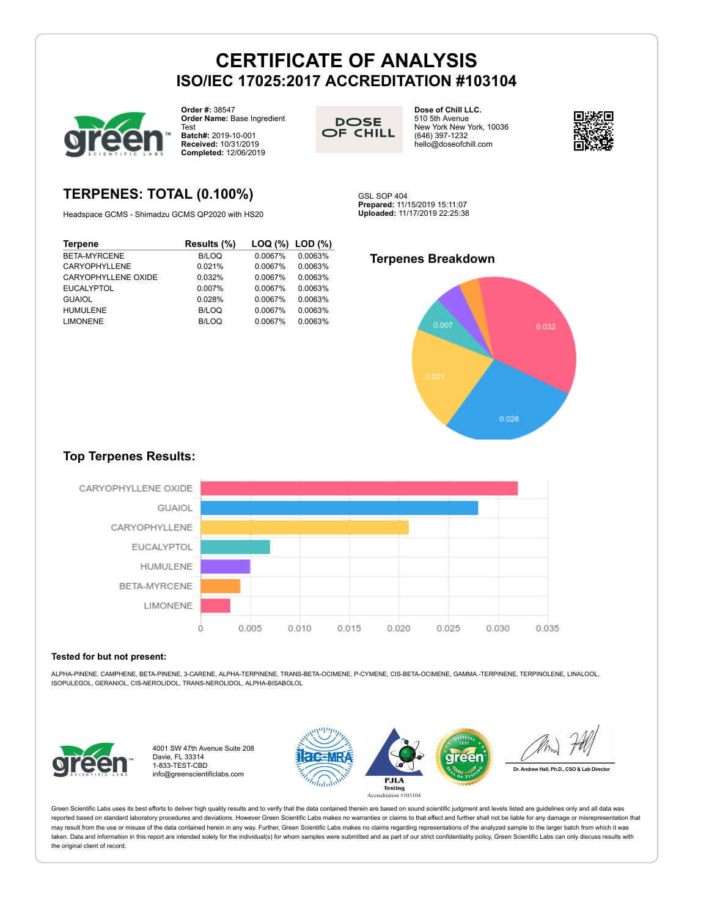

**TERPENES: TOTAL (0.100%)** Headspace GCMS - Shimadzu GCMS QP2020 with HS20

**Terpene Results (%) LOQ (%) LOD (%)**

EUCALYPTOL 0.007% 0.0067% 0.0063% GUAIOL 0.028% 0.0067% 0.0063% HUMULENE B/LOQ 0.0067% 0.0063% LIMONENE B/LOQ 0.0067% 0.0063%

**Order #:** 38547 **Order Name:** Base Ingredient Test **Batch#:** 2019-10-001 **Received:** 10/31/2019 **Completed:** 12/06/2019



**Dose of Chill LLC.** 510 5th Avenue New York New York, 10036 (646) 397-1232 hello@doseofchill.com



GSL SOP 404 **Prepared:** 11/15/2019 15:11:07 **Uploaded:** 11/17/2019 22:25:38

#### BETA-MYRCENE B/LOQ 0.0067% 0.0063% CARYOPHYLLENE 0.021% 0.0067% 0.0063% CARYOPHYLLENE OXIDE 0.032% 0.0067% 0.0063% **Terpenes Breakdown**



## **Top Terpenes Results:**



#### **Tested for but not present:**

ALPHA-PINENE, CAMPHENE, BETA-PINENE, 3-CARENE, ALPHA-TERPINENE, TRANS-BETA-OCIMENE, P-CYMENE, CIS-BETA-OCIMENE, GAMMA.-TERPINENE, TERPINOLENE, LINALOOL, ISOPULEGOL, GERANIOL, CIS-NEROLIDOL, TRANS-NEROLIDOL, ALPHA-BISABOLOL



4001 SW 47th Avenue Suite 208 Davie, FL 33314 1-833-TEST-CBD info@greenscientificlabs.com

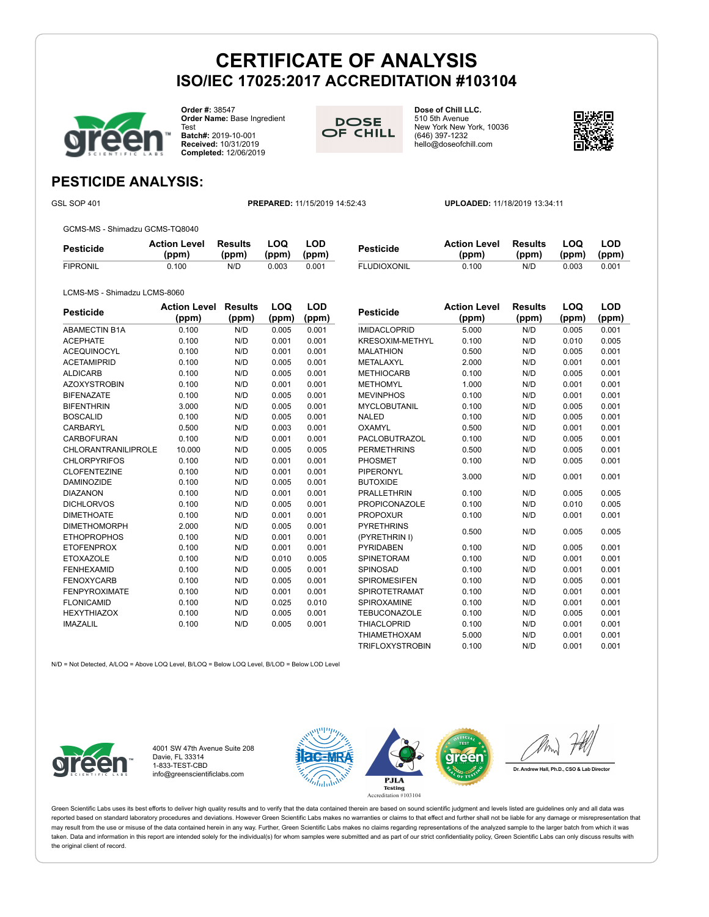

**Order #:** 38547 **Order Name:** Base Ingredient Test **Batch#:** 2019-10-001 **Received:** 10/31/2019 **Completed:** 12/06/2019



**Dose of Chill LLC.** 510 5th Avenue New York New York, 10036 (646) 397-1232 hello@doseofchill.com



## **PESTICIDE ANALYSIS:**

GSL SOP 401 **PREPARED:** 11/15/2019 14:52:43 **UPLOADED:** 11/18/2019 13:34:11

GCMS-MS - Shimadzu GCMS-TQ8040

| <b>UUINU INU</b><br>$\sim$ 0 iiiiiiuuzu Oonno ii Qoo $\pm$ o |                              |                  |               |              |                    |                              |                  |              |              |
|--------------------------------------------------------------|------------------------------|------------------|---------------|--------------|--------------------|------------------------------|------------------|--------------|--------------|
| <b>Pesticide</b>                                             | <b>Action Level</b><br>(ppm) | Results<br>(ppm) | _OO_<br>(ppm) | LOD<br>(ppm) | <b>Pesticide</b>   | <b>Action Level</b><br>(ppm) | Results<br>(ppm) | LOQ<br>(ppm) | LOD<br>(ppm) |
| <b>FIPRONIL</b>                                              | 0.100                        | N/D              | 0.003         | 0.001        | <b>FLUDIOXONIL</b> | 0.100                        | N/D              | 0.003        | 0.001        |

LCMS-MS - Shimadzu LCMS-8060

| Pesticide            | <b>Action Level</b><br>(ppm) | Results<br>(ppm) | LOQ<br>(ppm) | LOD<br>(ppm) |
|----------------------|------------------------------|------------------|--------------|--------------|
| <b>ABAMECTIN B1A</b> | 0.100                        | N/D              | 0.005        | 0.001        |
| <b>ACEPHATE</b>      | 0.100                        | N/D              | 0.001        | 0.001        |
| <b>ACEQUINOCYL</b>   | 0.100                        | N/D              | 0.001        | 0.001        |
| <b>ACETAMIPRID</b>   | 0.100                        | N/D              | 0.005        | 0.001        |
| <b>ALDICARB</b>      | 0.100                        | N/D              | 0.005        | 0.001        |
| <b>AZOXYSTROBIN</b>  | 0.100                        | N/D              | 0.001        | 0.001        |
| <b>BIFENAZATE</b>    | 0.100                        | N/D              | 0.005        | 0.001        |
| <b>BIFENTHRIN</b>    | 3.000                        | N/D              | 0.005        | 0.001        |
| <b>BOSCALID</b>      | 0.100                        | N/D              | 0.005        | 0.001        |
| CARBARYL             | 0.500                        | N/D              | 0.003        | 0.001        |
| CARBOFURAN           | 0.100                        | N/D              | 0.001        | 0.001        |
| CHLORANTRANILIPROLE  | 10.000                       | N/D              | 0.005        | 0.005        |
| <b>CHLORPYRIFOS</b>  | 0.100                        | N/D              | 0.001        | 0.001        |
| <b>CLOFENTEZINE</b>  | 0.100                        | N/D              | 0.001        | 0.001        |
| <b>DAMINOZIDE</b>    | 0.100                        | N/D              | 0.005        | 0.001        |
| <b>DIAZANON</b>      | 0.100                        | N/D              | 0.001        | 0.001        |
| <b>DICHLORVOS</b>    | 0.100                        | N/D              | 0.005        | 0.001        |
| <b>DIMETHOATE</b>    | 0.100                        | N/D              | 0.001        | 0.001        |
| <b>DIMETHOMORPH</b>  | 2.000                        | N/D              | 0.005        | 0.001        |
| <b>ETHOPROPHOS</b>   | 0.100                        | N/D              | 0.001        | 0.001        |
| <b>ETOFENPROX</b>    | 0.100                        | N/D              | 0.001        | 0.001        |
| <b>ETOXAZOLE</b>     | 0.100                        | N/D              | 0.010        | 0.005        |
| <b>FENHEXAMID</b>    | 0.100                        | N/D              | 0.005        | 0.001        |
| <b>FENOXYCARB</b>    | 0.100                        | N/D              | 0.005        | 0.001        |
| <b>FENPYROXIMATE</b> | 0.100                        | N/D              | 0.001        | 0.001        |
| <b>FLONICAMID</b>    | 0.100                        | N/D              | 0.025        | 0.010        |
| <b>HEXYTHIAZOX</b>   | 0.100                        | N/D              | 0.005        | 0.001        |
| <b>IMAZALIL</b>      | 0.100                        | N/D              | 0.005        | 0.001        |

| Pesticide              | <b>Action Level</b> | <b>Results</b> | LOQ   | LOD   |
|------------------------|---------------------|----------------|-------|-------|
|                        | (ppm)               | (ppm)          | (ppm) | (ppm) |
| <b>IMIDACLOPRID</b>    | 5.000               | N/D            | 0.005 | 0.001 |
| KRESOXIM-METHYL        | 0.100               | N/D            | 0.010 | 0.005 |
| <b>MALATHION</b>       | 0.500               | N/D            | 0.005 | 0.001 |
| METALAXYL              | 2.000               | N/D            | 0.001 | 0.001 |
| <b>METHIOCARB</b>      | 0.100               | N/D            | 0.005 | 0.001 |
| <b>METHOMYL</b>        | 1.000               | N/D            | 0.001 | 0.001 |
| <b>MEVINPHOS</b>       | 0.100               | N/D            | 0.001 | 0.001 |
| MYCLOBUTANIL           | 0.100               | N/D            | 0.005 | 0.001 |
| <b>NALED</b>           | 0.100               | N/D            | 0.005 | 0.001 |
| <b>OXAMYL</b>          | 0.500               | N/D            | 0.001 | 0.001 |
| <b>PACLOBUTRAZOL</b>   | 0.100               | N/D            | 0.005 | 0.001 |
| <b>PERMETHRINS</b>     | 0.500               | N/D            | 0.005 | 0.001 |
| PHOSMET                | 0.100               | N/D            | 0.005 | 0.001 |
| PIPERONYL              |                     | N/D            | 0.001 |       |
| <b>BUTOXIDE</b>        | 3.000               |                |       | 0.001 |
| <b>PRALLETHRIN</b>     | 0.100               | N/D            | 0.005 | 0.005 |
| <b>PROPICONAZOLE</b>   | 0.100               | N/D            | 0.010 | 0.005 |
| <b>PROPOXUR</b>        | 0.100               | N/D            | 0.001 | 0.001 |
| <b>PYRETHRINS</b>      | 0.500               | N/D            | 0.005 | 0.005 |
| (PYRETHRIN I)          |                     |                |       |       |
| PYRIDABEN              | 0.100               | N/D            | 0.005 | 0.001 |
| <b>SPINETORAM</b>      | 0.100               | N/D            | 0.001 | 0.001 |
| SPINOSAD               | 0.100               | N/D            | 0.001 | 0.001 |
| <b>SPIROMESIFEN</b>    | 0.100               | N/D            | 0.005 | 0.001 |
| <b>SPIROTETRAMAT</b>   | 0.100               | N/D            | 0.001 | 0.001 |
| SPIROXAMINE            | 0.100               | N/D            | 0.001 | 0.001 |
| <b>TEBUCONAZOLE</b>    | 0.100               | N/D            | 0.005 | 0.001 |
| <b>THIACLOPRID</b>     | 0.100               | N/D            | 0.001 | 0.001 |
| <b>THIAMETHOXAM</b>    | 5.000               | N/D            | 0.001 | 0.001 |
| <b>TRIFLOXYSTROBIN</b> | 0.100               | N/D            | 0.001 | 0.001 |

N/D = Not Detected, A/LOQ = Above LOQ Level, B/LOQ = Below LOQ Level, B/LOD = Below LOD Level



4001 SW 47th Avenue Suite 208 Davie, FL 33314 1-833-TEST-CBD info@greenscientificlabs.com

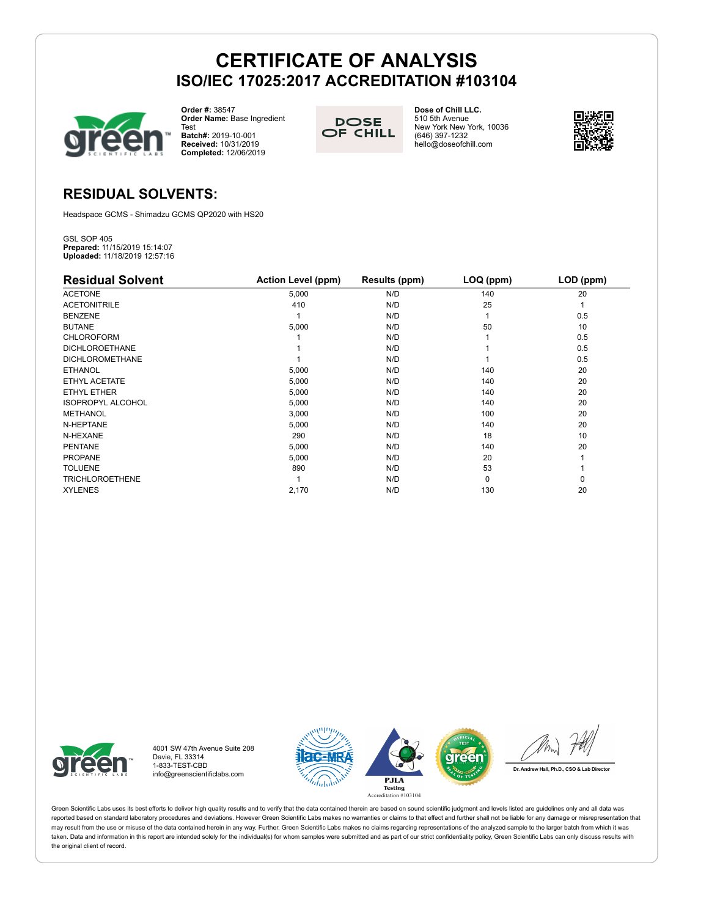

**Order #:** 38547 **Order Name:** Base Ingredient Test **Batch#:** 2019-10-001

**Received:** 10/31/2019 **Completed:** 12/06/2019

**DOSE** OF CHILL **Dose of Chill LLC.** 510 5th Avenue New York New York, 10036 (646) 397-1232 hello@doseofchill.com



## **RESIDUAL SOLVENTS:**

Headspace GCMS - Shimadzu GCMS QP2020 with HS20

GSL SOP 405 **Prepared:** 11/15/2019 15:14:07 **Uploaded:** 11/18/2019 12:57:16

| <b>Residual Solvent</b>  | <b>Action Level (ppm)</b> | Results (ppm) | LOQ (ppm) | LOD (ppm) |
|--------------------------|---------------------------|---------------|-----------|-----------|
| <b>ACETONE</b>           | 5,000                     | N/D           | 140       | 20        |
| <b>ACETONITRILE</b>      | 410                       | N/D           | 25        |           |
| <b>BENZENE</b>           |                           | N/D           |           | 0.5       |
| <b>BUTANE</b>            | 5,000                     | N/D           | 50        | 10        |
| <b>CHLOROFORM</b>        |                           | N/D           |           | 0.5       |
| <b>DICHLOROETHANE</b>    |                           | N/D           |           | 0.5       |
| <b>DICHLOROMETHANE</b>   |                           | N/D           |           | 0.5       |
| <b>ETHANOL</b>           | 5,000                     | N/D           | 140       | 20        |
| ETHYL ACETATE            | 5,000                     | N/D           | 140       | 20        |
| ETHYL ETHER              | 5,000                     | N/D           | 140       | 20        |
| <b>ISOPROPYL ALCOHOL</b> | 5,000                     | N/D           | 140       | 20        |
| <b>METHANOL</b>          | 3,000                     | N/D           | 100       | 20        |
| N-HEPTANE                | 5,000                     | N/D           | 140       | 20        |
| N-HEXANE                 | 290                       | N/D           | 18        | 10        |
| <b>PENTANE</b>           | 5,000                     | N/D           | 140       | 20        |
| <b>PROPANE</b>           | 5,000                     | N/D           | 20        |           |
| <b>TOLUENE</b>           | 890                       | N/D           | 53        |           |
| <b>TRICHLOROETHENE</b>   |                           | N/D           | $\Omega$  | 0         |
| <b>XYLENES</b>           | 2,170                     | N/D           | 130       | 20        |



4001 SW 47th Avenue Suite 208 Davie, FL 33314 1-833-TEST-CBD info@greenscientificlabs.com

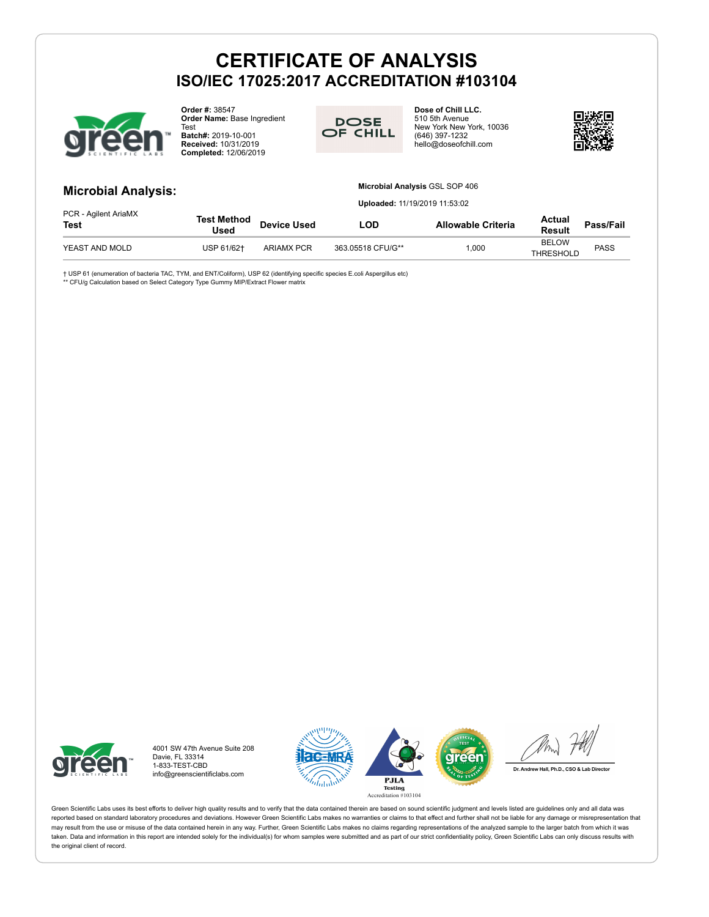

**Order #:** 38547 **Order Name:** Base Ingredient

Test **Batch#:** 2019-10-001 **Received:** 10/31/2019 **Completed:** 12/06/2019



**Dose of Chill LLC.** 510 5th Avenue New York New York, 10036 (646) 397-1232 hello@doseofchill.com



### **Microbial Analysis:**

#### **Microbial Analysis** GSL SOP 406

**Uploaded:** 11/19/2019 11:53:02

| PCR - Agilent AriaMX<br><b>Test</b> | Test Method<br>Used | <b>Device Used</b> | _OD               | <b>Allowable Criteria</b> | Actual<br><b>Result</b>          | Pass/Fail   |
|-------------------------------------|---------------------|--------------------|-------------------|---------------------------|----------------------------------|-------------|
| YEAST AND MOLD                      | USP 61/62+          | <b>ARIAMX PCR</b>  | 363.05518 CFU/G** | 000.1                     | <b>BELOW</b><br><b>THRESHOLD</b> | <b>PASS</b> |

† USP 61 (enumeration of bacteria TAC, TYM, and ENT/Coliform), USP 62 (identifying specific species E.coli Aspergillus etc)<br>\*\* CFU/g Calculation based on Select Category Type Gummy MIP/Extract Flower matrix



4001 SW 47th Avenue Suite 208 Davie, FL 33314 1-833-TEST-CBD info@greenscientificlabs.com



Dr. Andrew Hall, Ph.D., CSO & Lab Director